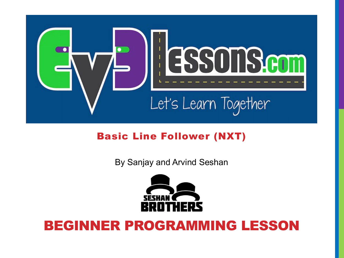

#### Basic Line Follower (NXT)

By Sanjay and Arvind Seshan



#### BEGINNER PROGRAMMING LESSON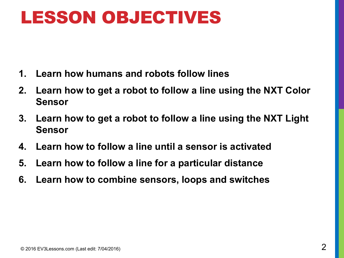### LESSON OBJECTIVES

- **1. Learn how humans and robots follow lines**
- **2. Learn how to get a robot to follow a line using the NXT Color Sensor**
- **3. Learn how to get a robot to follow a line using the NXT Light Sensor**
- **4. Learn how to follow a line until a sensor is activated**
- **5. Learn how to follow a line for a particular distance**
- **6. Learn how to combine sensors, loops and switches**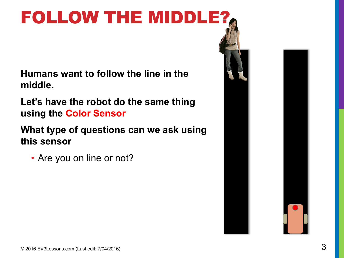# FOLLOW THE MIDDLE?

**Humans want to follow the line in the middle.** 

**Let's have the robot do the same thing using the Color Sensor**

**What type of questions can we ask using this sensor**

• Are you on line or not?

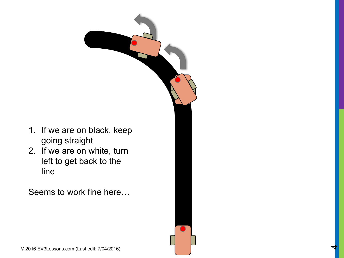

2. If we are on white, turn left to get back to the line

Seems to work fine here…



4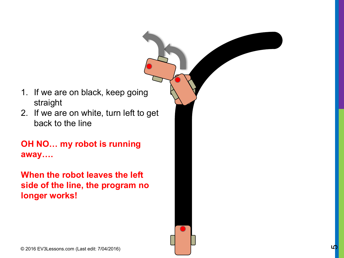- 1. If we are on black, keep going straight
- 2. If we are on white, turn left to get back to the line

**OH NO… my robot is running away….**

**When the robot leaves the left side of the line, the program no longer works!**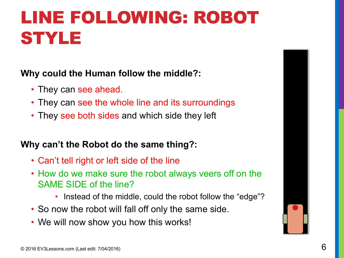# LINE FOLLOWING: ROBOT STYLE

#### **Why could the Human follow the middle?:**

- They can see ahead.
- They can see the whole line and its surroundings
- They see both sides and which side they left

#### **Why can't the Robot do the same thing?:**

- Can't tell right or left side of the line
- How do we make sure the robot always veers off on the SAME SIDE of the line?
	- Instead of the middle, could the robot follow the "edge"?
- So now the robot will fall off only the same side.
- We will now show you how this works!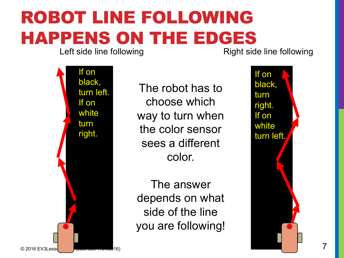# ROBOT LINE FOLLOWING HAPPENS ON THE EDGES

Right side line following



The robot has to choose which way to turn when the color sensor sees a different color.

The answer depends on what side of the line you are following!

If on black, turn right. If on white turn left.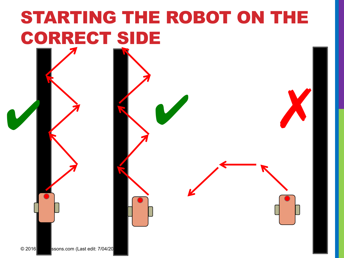# STARTING THE ROBOT ON THE CORRECT SIDE

 $\vee$   $\vee$ 

© 2016 Ssons.com (Last edit: 7/04/20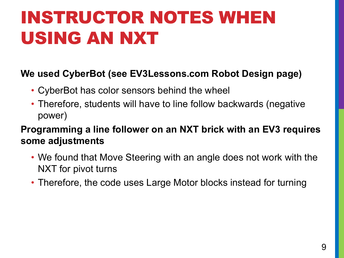# INSTRUCTOR NOTES WHEN USING AN NXT

#### **We used CyberBot (see EV3Lessons.com Robot Design page)**

- CyberBot has color sensors behind the wheel
- Therefore, students will have to line follow backwards (negative power)

**Programming a line follower on an NXT brick with an EV3 requires some adjustments**

- We found that Move Steering with an angle does not work with the NXT for pivot turns
- Therefore, the code uses Large Motor blocks instead for turning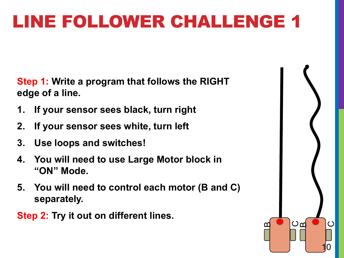**Step 1: Write a program that follows the RIGHT edge of a line.**

- **1. If your sensor sees black, turn right**
- **2. If your sensor sees white, turn left**
- **3. Use loops and switches!**
- **4. You will need to use Large Motor block in "ON" Mode.**
- **5. You will need to control each motor (B and C) separately.**
- **Step 2: Try it out on different lines.**

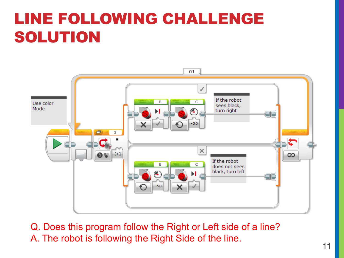### LINE FOLLOWING CHALLENGE SOLUTION



Q. Does this program follow the Right or Left side of a line? A. The robot is following the Right Side of the line.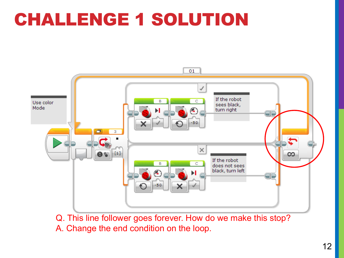### CHALLENGE 1 SOLUTION



Q. This line follower goes forever. How do we make this stop? A. Change the end condition on the loop.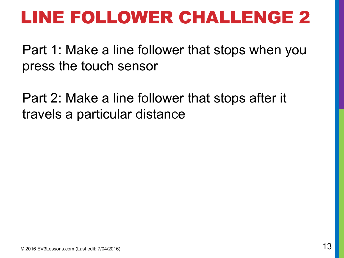Part 1: Make a line follower that stops when you press the touch sensor

Part 2: Make a line follower that stops after it travels a particular distance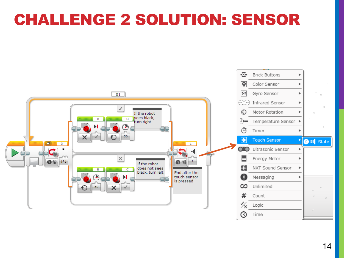#### CHALLENGE 2 SOLUTION: SENSOR

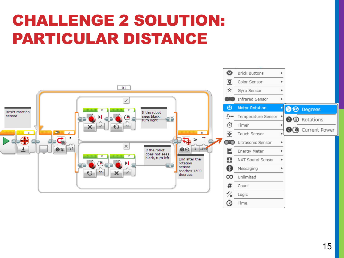#### CHALLENGE 2 SOLUTION: PARTICULAR DISTANCE

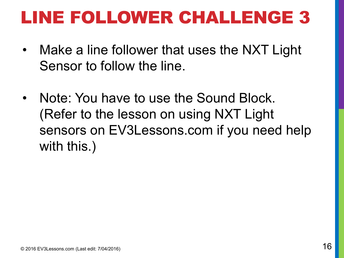- Make a line follower that uses the NXT Light Sensor to follow the line.
- Note: You have to use the Sound Block. (Refer to the lesson on using NXT Light sensors on EV3Lessons.com if you need help with this.)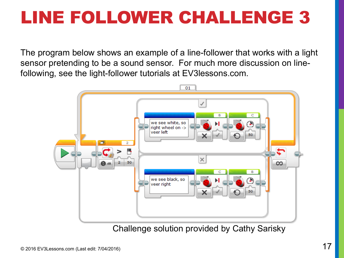The program below shows an example of a line-follower that works with a light sensor pretending to be a sound sensor. For much more discussion on linefollowing, see the light-follower tutorials at EV3lessons.com.



Challenge solution provided by Cathy Sarisky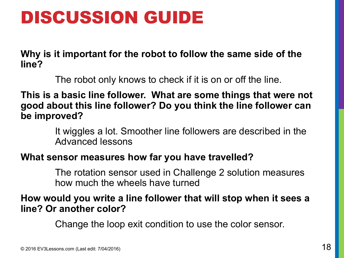### DISCUSSION GUIDE

**Why is it important for the robot to follow the same side of the line?**

The robot only knows to check if it is on or off the line.

**This is a basic line follower. What are some things that were not good about this line follower? Do you think the line follower can be improved?**

> It wiggles a lot. Smoother line followers are described in the Advanced lessons

#### **What sensor measures how far you have travelled?**

The rotation sensor used in Challenge 2 solution measures how much the wheels have turned

#### **How would you write a line follower that will stop when it sees a line? Or another color?**

Change the loop exit condition to use the color sensor.